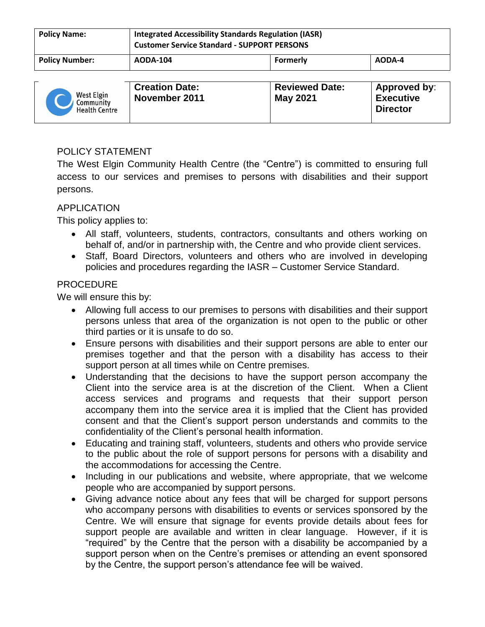| <b>Policy Name:</b>   | <b>Integrated Accessibility Standards Regulation (IASR)</b><br><b>Customer Service Standard - SUPPORT PERSONS</b> |          |        |
|-----------------------|-------------------------------------------------------------------------------------------------------------------|----------|--------|
| <b>Policy Number:</b> | <b>AODA-104</b>                                                                                                   | Formerly | AODA-4 |

| <b>Creation Date:</b><br>West Elgin<br>November 2011<br>Community<br><b>Health Centre</b> | <b>Reviewed Date:</b><br><b>May 2021</b> | Approved by:<br><b>Executive</b><br><b>Director</b> |
|-------------------------------------------------------------------------------------------|------------------------------------------|-----------------------------------------------------|
|-------------------------------------------------------------------------------------------|------------------------------------------|-----------------------------------------------------|

### POLICY STATEMENT

The West Elgin Community Health Centre (the "Centre") is committed to ensuring full access to our services and premises to persons with disabilities and their support persons.

### APPLICATION

This policy applies to:

- All staff, volunteers, students, contractors, consultants and others working on behalf of, and/or in partnership with, the Centre and who provide client services.
- Staff, Board Directors, volunteers and others who are involved in developing policies and procedures regarding the IASR – Customer Service Standard.

### PROCEDURE

We will ensure this by:

- Allowing full access to our premises to persons with disabilities and their support persons unless that area of the organization is not open to the public or other third parties or it is unsafe to do so.
- Ensure persons with disabilities and their support persons are able to enter our premises together and that the person with a disability has access to their support person at all times while on Centre premises.
- Understanding that the decisions to have the support person accompany the Client into the service area is at the discretion of the Client. When a Client access services and programs and requests that their support person accompany them into the service area it is implied that the Client has provided consent and that the Client's support person understands and commits to the confidentiality of the Client's personal health information.
- Educating and training staff, volunteers, students and others who provide service to the public about the role of support persons for persons with a disability and the accommodations for accessing the Centre.
- Including in our publications and website, where appropriate, that we welcome people who are accompanied by support persons.
- Giving advance notice about any fees that will be charged for support persons who accompany persons with disabilities to events or services sponsored by the Centre. We will ensure that signage for events provide details about fees for support people are available and written in clear language. However, if it is "required" by the Centre that the person with a disability be accompanied by a support person when on the Centre's premises or attending an event sponsored by the Centre, the support person's attendance fee will be waived.